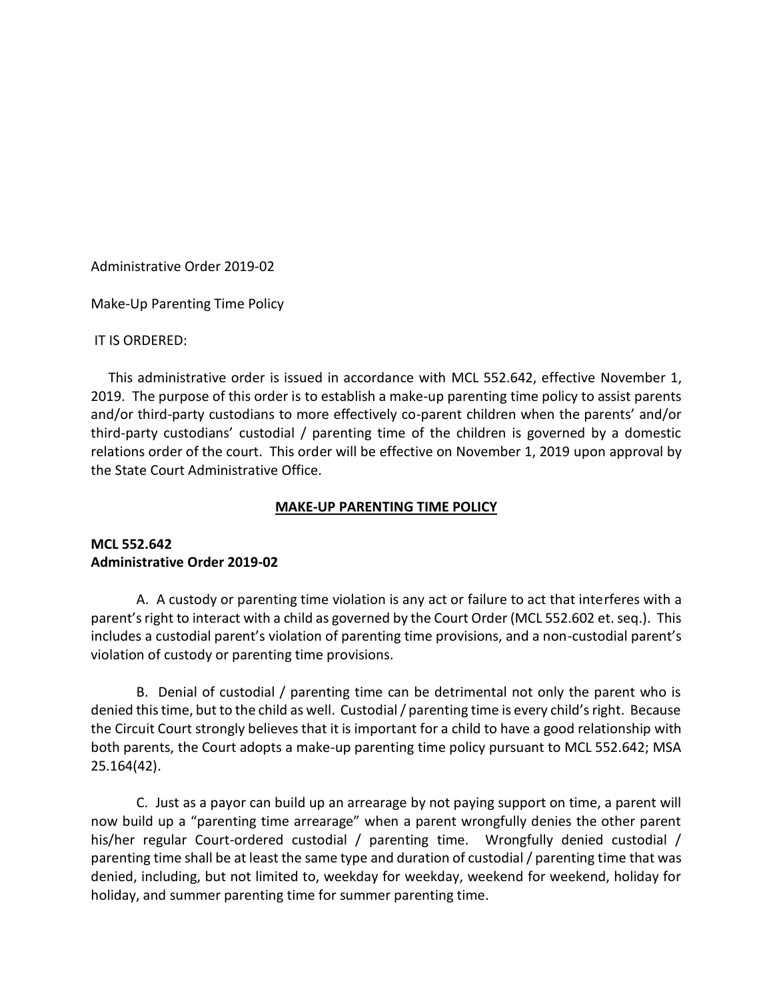Administrative Order 2019-02

Make-Up Parenting Time Policy

## IT IS ORDERED:

 This administrative order is issued in accordance with MCL 552.642, effective November 1, 2019. The purpose of this order is to establish a make-up parenting time policy to assist parents and/or third-party custodians to more effectively co-parent children when the parents' and/or third-party custodians' custodial / parenting time of the children is governed by a domestic relations order of the court. This order will be effective on November 1, 2019 upon approval by the State Court Administrative Office.

## **MAKE-UP PARENTING TIME POLICY**

## **MCL 552.642 Administrative Order 2019-02**

A. A custody or parenting time violation is any act or failure to act that interferes with a parent's right to interact with a child as governed by the Court Order (MCL 552.602 et. seq.). This includes a custodial parent's violation of parenting time provisions, and a non-custodial parent's violation of custody or parenting time provisions.

B. Denial of custodial / parenting time can be detrimental not only the parent who is denied this time, but to the child as well. Custodial / parenting time is every child's right. Because the Circuit Court strongly believes that it is important for a child to have a good relationship with both parents, the Court adopts a make-up parenting time policy pursuant to MCL 552.642; MSA 25.164(42).

C. Just as a payor can build up an arrearage by not paying support on time, a parent will now build up a "parenting time arrearage" when a parent wrongfully denies the other parent his/her regular Court-ordered custodial / parenting time. Wrongfully denied custodial / parenting time shall be at least the same type and duration of custodial / parenting time that was denied, including, but not limited to, weekday for weekday, weekend for weekend, holiday for holiday, and summer parenting time for summer parenting time.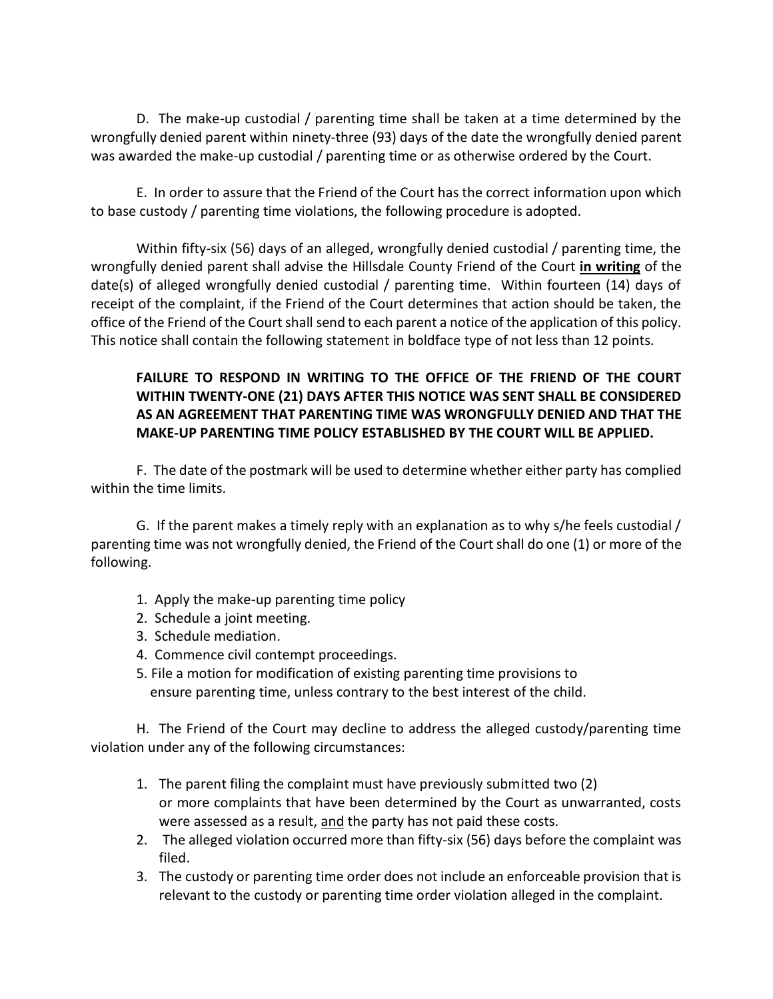D. The make-up custodial / parenting time shall be taken at a time determined by the wrongfully denied parent within ninety-three (93) days of the date the wrongfully denied parent was awarded the make-up custodial / parenting time or as otherwise ordered by the Court.

E. In order to assure that the Friend of the Court has the correct information upon which to base custody / parenting time violations, the following procedure is adopted.

Within fifty-six (56) days of an alleged, wrongfully denied custodial / parenting time, the wrongfully denied parent shall advise the Hillsdale County Friend of the Court **in writing** of the date(s) of alleged wrongfully denied custodial / parenting time. Within fourteen (14) days of receipt of the complaint, if the Friend of the Court determines that action should be taken, the office of the Friend of the Court shall send to each parent a notice of the application of this policy. This notice shall contain the following statement in boldface type of not less than 12 points.

## **FAILURE TO RESPOND IN WRITING TO THE OFFICE OF THE FRIEND OF THE COURT WITHIN TWENTY-ONE (21) DAYS AFTER THIS NOTICE WAS SENT SHALL BE CONSIDERED AS AN AGREEMENT THAT PARENTING TIME WAS WRONGFULLY DENIED AND THAT THE MAKE-UP PARENTING TIME POLICY ESTABLISHED BY THE COURT WILL BE APPLIED.**

F. The date of the postmark will be used to determine whether either party has complied within the time limits.

G. If the parent makes a timely reply with an explanation as to why s/he feels custodial / parenting time was not wrongfully denied, the Friend of the Court shall do one (1) or more of the following.

- 1. Apply the make-up parenting time policy
- 2. Schedule a joint meeting.
- 3. Schedule mediation.
- 4. Commence civil contempt proceedings.
- 5. File a motion for modification of existing parenting time provisions to ensure parenting time, unless contrary to the best interest of the child.

H. The Friend of the Court may decline to address the alleged custody/parenting time violation under any of the following circumstances:

- 1. The parent filing the complaint must have previously submitted two (2) or more complaints that have been determined by the Court as unwarranted, costs were assessed as a result, and the party has not paid these costs.
- 2. The alleged violation occurred more than fifty-six (56) days before the complaint was filed.
- 3. The custody or parenting time order does not include an enforceable provision that is relevant to the custody or parenting time order violation alleged in the complaint.